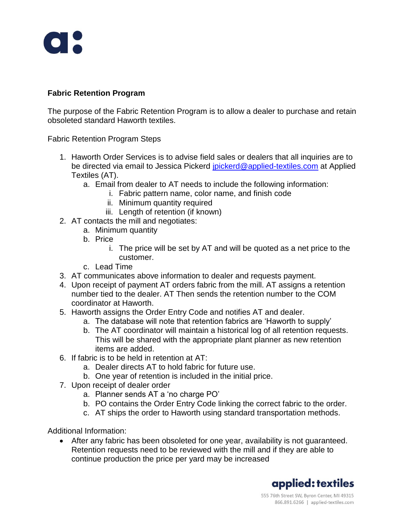

## **Fabric Retention Program**

The purpose of the Fabric Retention Program is to allow a dealer to purchase and retain obsoleted standard Haworth textiles.

Fabric Retention Program Steps

- 1. Haworth Order Services is to advise field sales or dealers that all inquiries are to be directed via email to Jessica Pickerd [jpickerd@applied-textiles.com](mailto:jpickerd@applied-textiles.com) at Applied Textiles (AT).
	- a. Email from dealer to AT needs to include the following information:
		- i. Fabric pattern name, color name, and finish code
			- ii. Minimum quantity required
			- iii. Length of retention (if known)
- 2. AT contacts the mill and negotiates:
	- a. Minimum quantity
	- b. Price
		- i. The price will be set by AT and will be quoted as a net price to the customer.
	- c. Lead Time
- 3. AT communicates above information to dealer and requests payment.
- 4. Upon receipt of payment AT orders fabric from the mill. AT assigns a retention number tied to the dealer. AT Then sends the retention number to the COM coordinator at Haworth.
- 5. Haworth assigns the Order Entry Code and notifies AT and dealer.
	- a. The database will note that retention fabrics are 'Haworth to supply'
	- b. The AT coordinator will maintain a historical log of all retention requests. This will be shared with the appropriate plant planner as new retention items are added.
- 6. If fabric is to be held in retention at AT:
	- a. Dealer directs AT to hold fabric for future use.
	- b. One year of retention is included in the initial price.
- 7. Upon receipt of dealer order
	- a. Planner sends AT a 'no charge PO'
	- b. PO contains the Order Entry Code linking the correct fabric to the order.
	- c. AT ships the order to Haworth using standard transportation methods.

Additional Information:

• After any fabric has been obsoleted for one year, availability is not guaranteed. Retention requests need to be reviewed with the mill and if they are able to continue production the price per yard may be increased